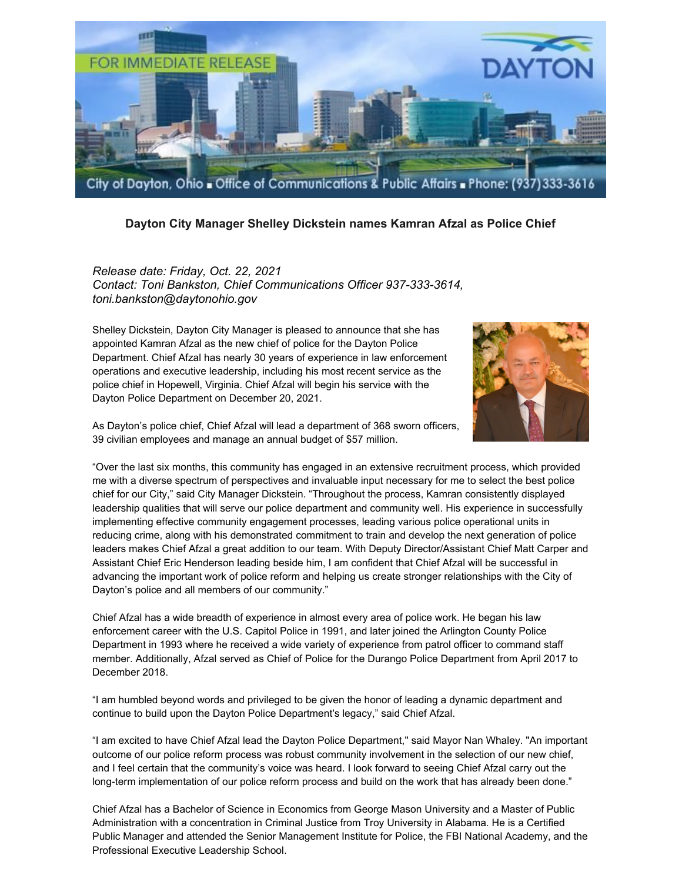

## **Dayton City Manager Shelley Dickstein names Kamran Afzal as Police Chief**

*Release date: Friday, Oct. 22, 2021 Contact: Toni Bankston, Chief Communications Officer 937-333-3614, toni.bankston@daytonohio.gov*

Shelley Dickstein, Dayton City Manager is pleased to announce that she has appointed Kamran Afzal as the new chief of police for the Dayton Police Department. Chief Afzal has nearly 30 years of experience in law enforcement operations and executive leadership, including his most recent service as the police chief in Hopewell, Virginia. Chief Afzal will begin his service with the Dayton Police Department on December 20, 2021.



As Dayton's police chief, Chief Afzal will lead a department of 368 sworn officers, 39 civilian employees and manage an annual budget of \$57 million.

"Over the last six months, this community has engaged in an extensive recruitment process, which provided me with a diverse spectrum of perspectives and invaluable input necessary for me to select the best police chief for our City," said City Manager Dickstein. "Throughout the process, Kamran consistently displayed leadership qualities that will serve our police department and community well. His experience in successfully implementing effective community engagement processes, leading various police operational units in reducing crime, along with his demonstrated commitment to train and develop the next generation of police leaders makes Chief Afzal a great addition to our team. With Deputy Director/Assistant Chief Matt Carper and Assistant Chief Eric Henderson leading beside him, I am confident that Chief Afzal will be successful in advancing the important work of police reform and helping us create stronger relationships with the City of Dayton's police and all members of our community."

Chief Afzal has a wide breadth of experience in almost every area of police work. He began his law enforcement career with the U.S. Capitol Police in 1991, and later joined the Arlington County Police Department in 1993 where he received a wide variety of experience from patrol officer to command staff member. Additionally, Afzal served as Chief of Police for the Durango Police Department from April 2017 to December 2018.

"I am humbled beyond words and privileged to be given the honor of leading a dynamic department and continue to build upon the Dayton Police Department's legacy," said Chief Afzal.

"I am excited to have Chief Afzal lead the Dayton Police Department," said Mayor Nan Whaley. "An important outcome of our police reform process was robust community involvement in the selection of our new chief, and I feel certain that the community's voice was heard. I look forward to seeing Chief Afzal carry out the long-term implementation of our police reform process and build on the work that has already been done."

Chief Afzal has a Bachelor of Science in Economics from George Mason University and a Master of Public Administration with a concentration in Criminal Justice from Troy University in Alabama. He is a Certified Public Manager and attended the Senior Management Institute for Police, the FBI National Academy, and the Professional Executive Leadership School.